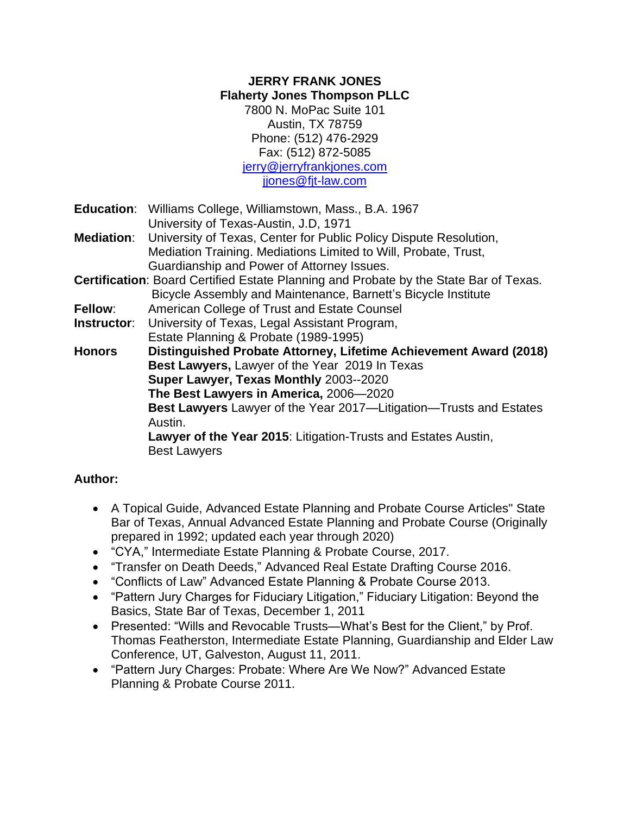### **JERRY FRANK JONES Flaherty Jones Thompson PLLC** 7800 N. MoPac Suite 101 Austin, TX 78759 Phone: (512) 476-2929 Fax: (512) 872-5085 [jerry@jerryfrankjones.com](mailto:jerry@jerryfrankjones.com) [jjones@fjt-law.com](mailto:jerry@ikardgoldenjones.com)

- **Education**: Williams College, Williamstown, Mass., B.A. 1967 University of Texas-Austin, J.D, 1971
- **Mediation**: University of Texas, Center for Public Policy Dispute Resolution, Mediation Training. Mediations Limited to Will, Probate, Trust, Guardianship and Power of Attorney Issues.
- **Certification**: Board Certified Estate Planning and Probate by the State Bar of Texas. Bicycle Assembly and Maintenance, Barnett's Bicycle Institute
- **Fellow:** American College of Trust and Estate Counsel
- **Instructor**: University of Texas, Legal Assistant Program,

Estate Planning & Probate (1989-1995) **Honors Distinguished Probate Attorney, Lifetime Achievement Award (2018) Best Lawyers,** Lawyer of the Year 2019 In Texas **Super Lawyer, Texas Monthly** 2003--2020 **The Best Lawyers in America,** 2006—2020 **Best Lawyers** Lawyer of the Year 2017—Litigation—Trusts and Estates Austin. **Lawyer of the Year 2015**: Litigation-Trusts and Estates Austin, Best Lawyers

# **Author:**

- A Topical Guide, Advanced Estate Planning and Probate Course Articles" State Bar of Texas, Annual Advanced Estate Planning and Probate Course (Originally prepared in 1992; updated each year through 2020)
- "CYA," Intermediate Estate Planning & Probate Course, 2017.
- "Transfer on Death Deeds," Advanced Real Estate Drafting Course 2016.
- "Conflicts of Law" Advanced Estate Planning & Probate Course 2013.
- "Pattern Jury Charges for Fiduciary Litigation," Fiduciary Litigation: Beyond the Basics, State Bar of Texas, December 1, 2011
- Presented: "Wills and Revocable Trusts—What's Best for the Client," by Prof. Thomas Featherston, Intermediate Estate Planning, Guardianship and Elder Law Conference, UT, Galveston, August 11, 2011.
- "Pattern Jury Charges: Probate: Where Are We Now?" Advanced Estate Planning & Probate Course 2011.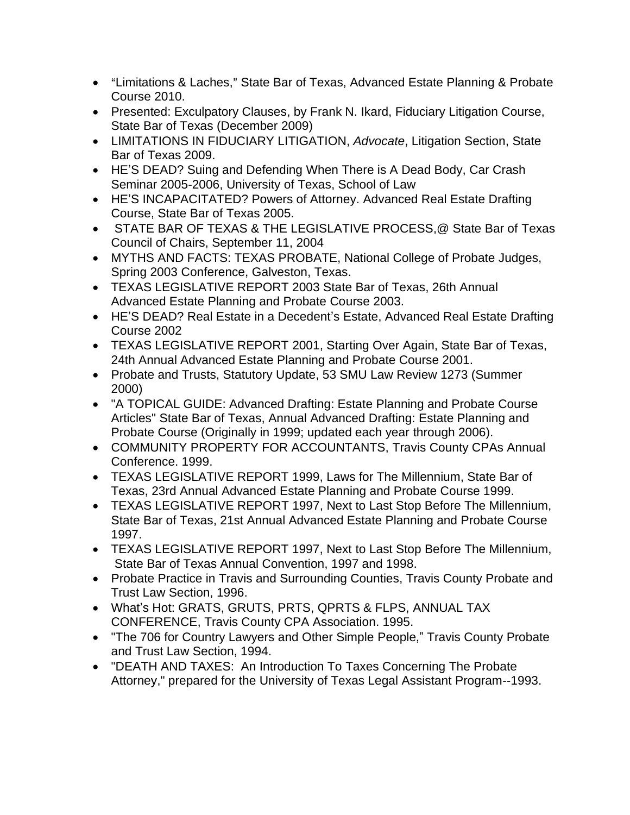- "Limitations & Laches," State Bar of Texas, Advanced Estate Planning & Probate Course 2010.
- Presented: Exculpatory Clauses, by Frank N. Ikard, Fiduciary Litigation Course, State Bar of Texas (December 2009)
- LIMITATIONS IN FIDUCIARY LITIGATION, *Advocate*, Litigation Section, State Bar of Texas 2009.
- HE'S DEAD? Suing and Defending When There is A Dead Body, Car Crash Seminar 2005-2006, University of Texas, School of Law
- HE'S INCAPACITATED? Powers of Attorney. Advanced Real Estate Drafting Course, State Bar of Texas 2005.
- STATE BAR OF TEXAS & THE LEGISLATIVE PROCESS,@ State Bar of Texas Council of Chairs, September 11, 2004
- MYTHS AND FACTS: TEXAS PROBATE, National College of Probate Judges, Spring 2003 Conference, Galveston, Texas.
- TEXAS LEGISLATIVE REPORT 2003 State Bar of Texas, 26th Annual Advanced Estate Planning and Probate Course 2003.
- HE'S DEAD? Real Estate in a Decedent's Estate, Advanced Real Estate Drafting Course 2002
- TEXAS LEGISLATIVE REPORT 2001, Starting Over Again, State Bar of Texas, 24th Annual Advanced Estate Planning and Probate Course 2001.
- Probate and Trusts, Statutory Update, 53 SMU Law Review 1273 (Summer 2000)
- "A TOPICAL GUIDE: Advanced Drafting: Estate Planning and Probate Course Articles" State Bar of Texas, Annual Advanced Drafting: Estate Planning and Probate Course (Originally in 1999; updated each year through 2006).
- COMMUNITY PROPERTY FOR ACCOUNTANTS, Travis County CPAs Annual Conference. 1999.
- TEXAS LEGISLATIVE REPORT 1999, Laws for The Millennium, State Bar of Texas, 23rd Annual Advanced Estate Planning and Probate Course 1999.
- TEXAS LEGISLATIVE REPORT 1997, Next to Last Stop Before The Millennium, State Bar of Texas, 21st Annual Advanced Estate Planning and Probate Course 1997.
- TEXAS LEGISLATIVE REPORT 1997, Next to Last Stop Before The Millennium, State Bar of Texas Annual Convention, 1997 and 1998.
- Probate Practice in Travis and Surrounding Counties, Travis County Probate and Trust Law Section, 1996.
- What's Hot: GRATS, GRUTS, PRTS, QPRTS & FLPS, ANNUAL TAX CONFERENCE, Travis County CPA Association. 1995.
- "The 706 for Country Lawyers and Other Simple People," Travis County Probate and Trust Law Section, 1994.
- "DEATH AND TAXES: An Introduction To Taxes Concerning The Probate Attorney," prepared for the University of Texas Legal Assistant Program--1993.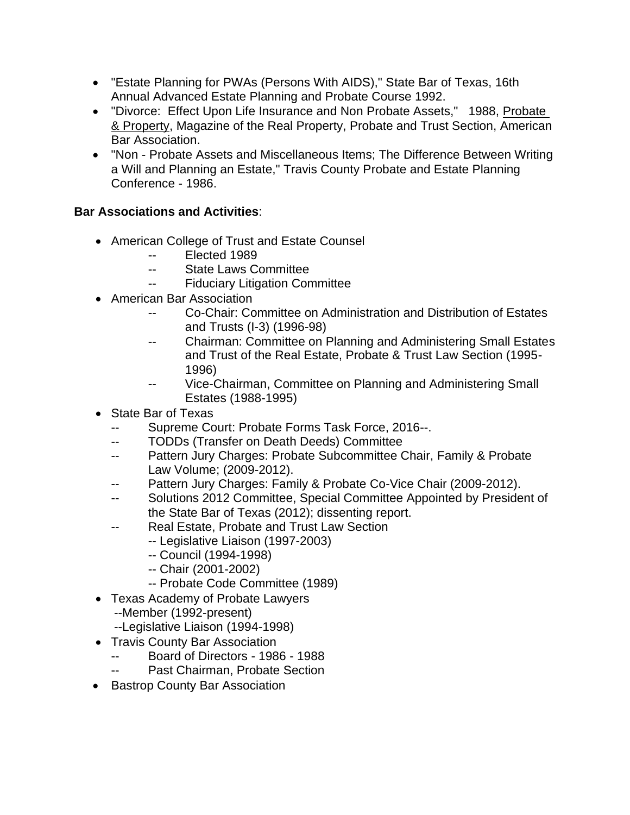- "Estate Planning for PWAs (Persons With AIDS)," State Bar of Texas, 16th Annual Advanced Estate Planning and Probate Course 1992.
- "Divorce: Effect Upon Life Insurance and Non Probate Assets," 1988, Probate & Property, Magazine of the Real Property, Probate and Trust Section, American Bar Association.
- "Non Probate Assets and Miscellaneous Items; The Difference Between Writing a Will and Planning an Estate," Travis County Probate and Estate Planning Conference - 1986.

# **Bar Associations and Activities**:

- American College of Trust and Estate Counsel
	- Elected 1989
	- -- State Laws Committee
	- **Fiduciary Litigation Committee**
- American Bar Association
	- Co-Chair: Committee on Administration and Distribution of Estates and Trusts (I-3) (1996-98)
	- Chairman: Committee on Planning and Administering Small Estates and Trust of the Real Estate, Probate & Trust Law Section (1995- 1996)
	- -- Vice-Chairman, Committee on Planning and Administering Small Estates (1988-1995)
- State Bar of Texas
	- -- Supreme Court: Probate Forms Task Force, 2016--.
	- -- TODDs (Transfer on Death Deeds) Committee
	- -- Pattern Jury Charges: Probate Subcommittee Chair, Family & Probate Law Volume; (2009-2012).
	- -- Pattern Jury Charges: Family & Probate Co-Vice Chair (2009-2012).
	- -- Solutions 2012 Committee, Special Committee Appointed by President of the State Bar of Texas (2012); dissenting report.
	- Real Estate, Probate and Trust Law Section
		- -- Legislative Liaison (1997-2003)
		- -- Council (1994-1998)
		- -- Chair (2001-2002)
		- -- Probate Code Committee (1989)
- Texas Academy of Probate Lawyers
	- --Member (1992-present)
	- --Legislative Liaison (1994-1998)
- Travis County Bar Association
	- -- Board of Directors 1986 1988
	- Past Chairman, Probate Section
- Bastrop County Bar Association